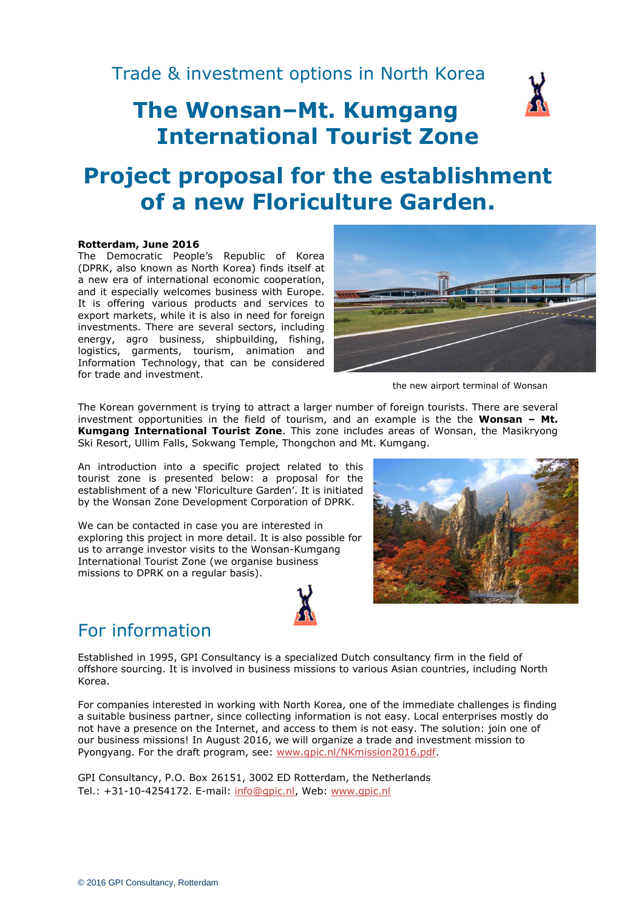# **The Wonsan–Mt. Kumgang International Tourist Zone**



#### **Rotterdam, June 2016**

The Democratic People's Republic of Korea (DPRK, also known as North Korea) finds itself at a new era of international economic cooperation, and it especially welcomes business with Europe. It is offering various products and services to export markets, while it is also in need for foreign investments. There are several sectors, including energy, agro business, shipbuilding, fishing, logistics, garments, tourism, animation and Information Technology, that can be considered for trade and investment.



the new airport terminal of Wonsan

The Korean government is trying to attract a larger number of foreign tourists. There are several investment opportunities in the field of tourism, and an example is the the **Wonsan – Mt. Kumgang International Tourist Zone**. This zone includes areas of Wonsan, the Masikryong Ski Resort, Ullim Falls, Sokwang Temple, Thongchon and Mt. Kumgang.

An introduction into a specific project related to this tourist zone is presented below: a proposal for the establishment of a new 'Floriculture Garden'. It is initiated by the Wonsan Zone Development Corporation of DPRK.

We can be contacted in case you are interested in exploring this project in more detail. It is also possible for us to arrange investor visits to the Wonsan-Kumgang International Tourist Zone (we organise business missions to DPRK on a regular basis).



# For information

Established in 1995, GPI Consultancy is a specialized Dutch consultancy firm in the field of offshore sourcing. It is involved in business missions to various Asian countries, including North Korea.

For companies interested in working with North Korea, one of the immediate challenges is finding a suitable business partner, since collecting information is not easy. Local enterprises mostly do not have a presence on the Internet, and access to them is not easy. The solution: join one of our business missions! In August 2016, we will organize a trade and investment mission to Pyongyang. For the draft program, see: [www.gpic.nl/NKmission2016.pdf.](http://www.gpic.nl/NKmission2016.pdf)

GPI Consultancy, P.O. Box 26151, 3002 ED Rotterdam, the Netherlands Tel.: +31-10-4254172. E-mail: [info@gpic.nl,](mailto:info@gpic.nl) Web: [www.gpic.nl](http://www.gpic.nl/)

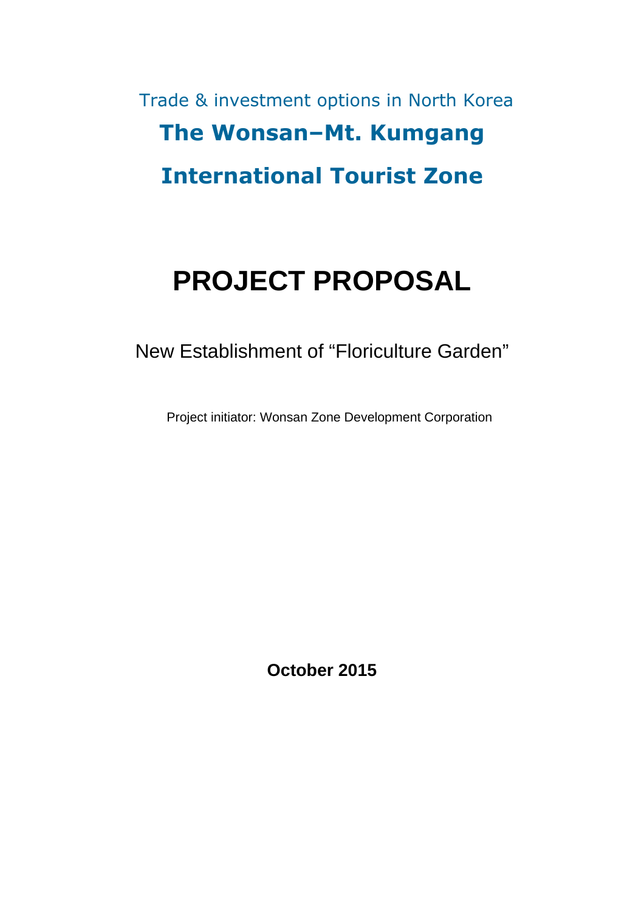# Trade & investment options in North Korea The Wonsan–Mt. Kumgang International Tourist Zone

# **PROJECT PROPOSAL**

New Establishment of "Floriculture Garden"

Project initiator: Wonsan Zone Development Corporation

**October 2015**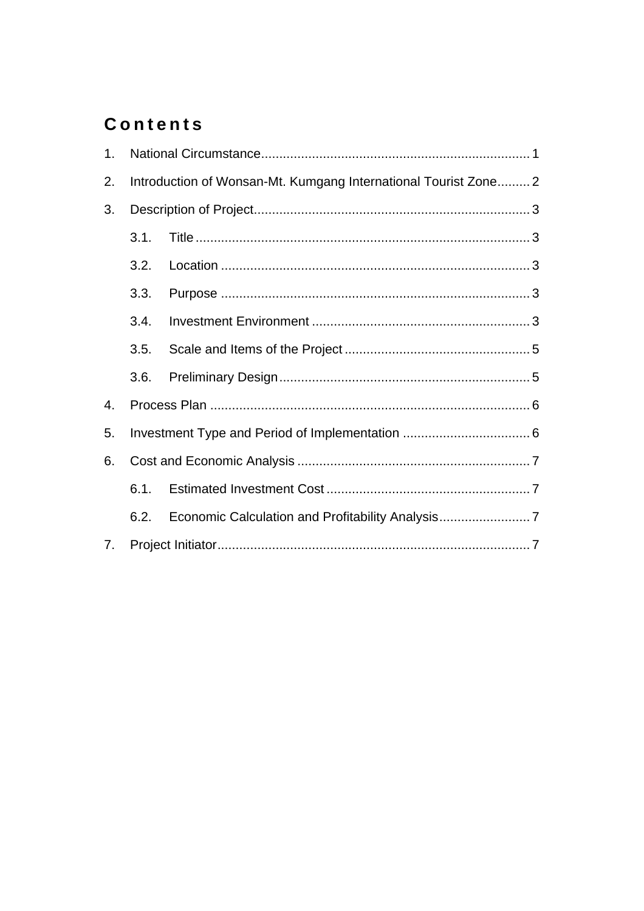# **Contents**

| 1. |                                                                 |  |  |  |  |  |  |
|----|-----------------------------------------------------------------|--|--|--|--|--|--|
| 2. | Introduction of Wonsan-Mt. Kumgang International Tourist Zone 2 |  |  |  |  |  |  |
| 3. |                                                                 |  |  |  |  |  |  |
|    | 3.1.                                                            |  |  |  |  |  |  |
|    | 3.2.                                                            |  |  |  |  |  |  |
|    | 3.3.                                                            |  |  |  |  |  |  |
|    | 3.4.                                                            |  |  |  |  |  |  |
|    | 3.5.                                                            |  |  |  |  |  |  |
|    | 3.6.                                                            |  |  |  |  |  |  |
| 4. |                                                                 |  |  |  |  |  |  |
| 5. |                                                                 |  |  |  |  |  |  |
| 6. |                                                                 |  |  |  |  |  |  |
|    | 6.1.                                                            |  |  |  |  |  |  |
|    | 6.2.                                                            |  |  |  |  |  |  |
| 7. |                                                                 |  |  |  |  |  |  |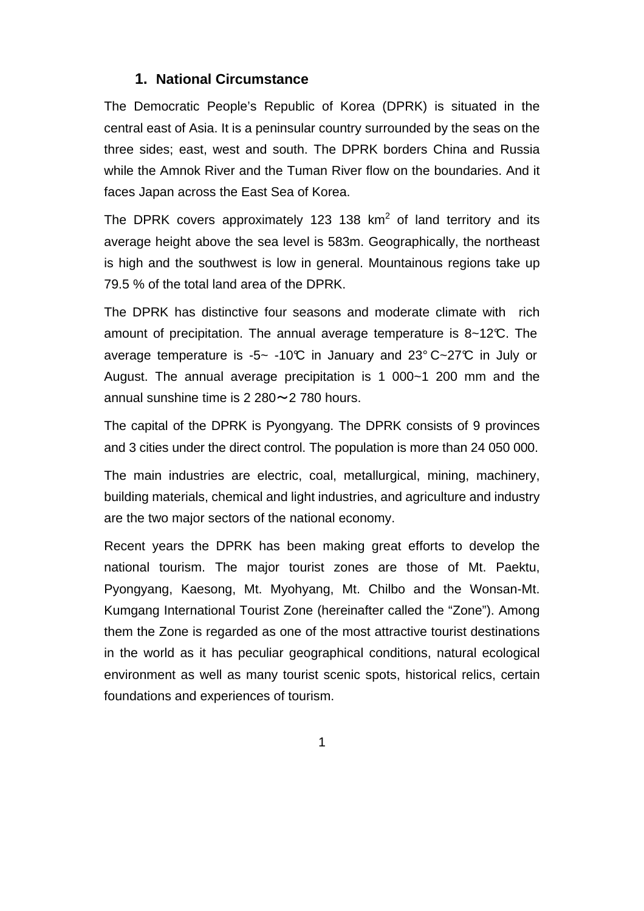#### **1. National Circumstance**

The Democratic People's Republic of Korea (DPRK) is situated in the central east of Asia. It is a peninsular country surrounded by the seas on the three sides; east, west and south. The DPRK borders China and Russia while the Amnok River and the Tuman River flow on the boundaries. And it faces Japan across the East Sea of Korea.

The DPRK covers approximately 123 138  $km^2$  of land territory and its average height above the sea level is 583m. Geographically, the northeast is high and the southwest is low in general. Mountainous regions take up 79.5 % of the total land area of the DPRK.

The DPRK has distinctive four seasons and moderate climate with rich amount of precipitation. The annual average temperature is 8~12°C. The average temperature is -5~ -10°C in January and  $23^{\circ}$  C~27°C in July or August. The annual average precipitation is 1 000~1 200 mm and the annual sunshine time is  $2\,280\sim 2\,780$  hours.

The capital of the DPRK is Pyongyang. The DPRK consists of 9 provinces and 3 cities under the direct control. The population is more than 24 050 000.

The main industries are electric, coal, metallurgical, mining, machinery, building materials, chemical and light industries, and agriculture and industry are the two major sectors of the national economy.

Recent years the DPRK has been making great efforts to develop the national tourism. The major tourist zones are those of Mt. Paektu, Pyongyang, Kaesong, Mt. Myohyang, Mt. Chilbo and the Wonsan-Mt. Kumgang International Tourist Zone (hereinafter called the "Zone"). Among them the Zone is regarded as one of the most attractive tourist destinations in the world as it has peculiar geographical conditions, natural ecological environment as well as many tourist scenic spots, historical relics, certain foundations and experiences of tourism.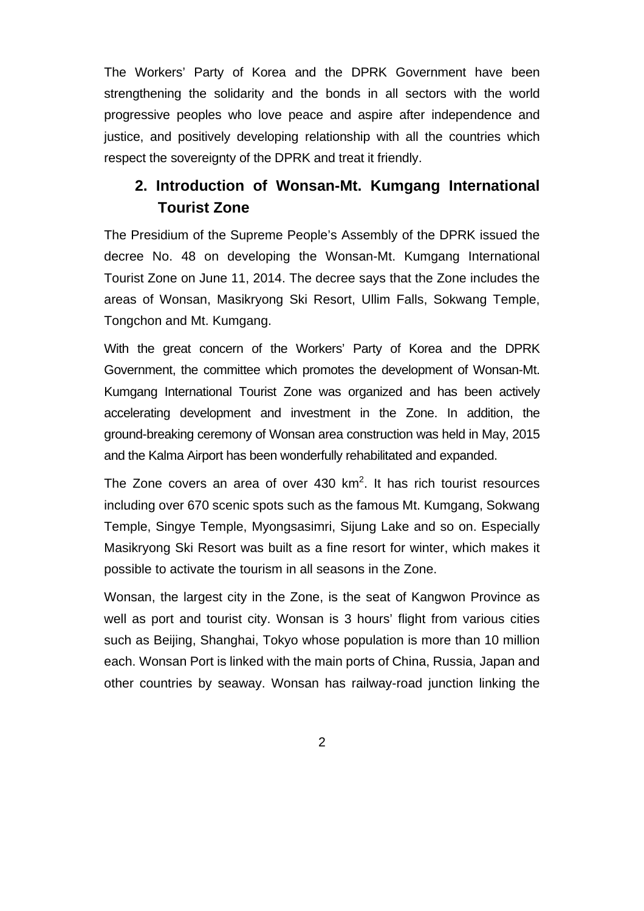The Workers' Party of Korea and the DPRK Government have been strengthening the solidarity and the bonds in all sectors with the world progressive peoples who love peace and aspire after independence and justice, and positively developing relationship with all the countries which respect the sovereignty of the DPRK and treat it friendly.

# **2. Introduction of Wonsan-Mt. Kumgang International Tourist Zone**

The Presidium of the Supreme People's Assembly of the DPRK issued the decree No. 48 on developing the Wonsan-Mt. Kumgang International Tourist Zone on June 11, 2014. The decree says that the Zone includes the areas of Wonsan, Masikryong Ski Resort, Ullim Falls, Sokwang Temple, Tongchon and Mt. Kumgang.

With the great concern of the Workers' Party of Korea and the DPRK Government, the committee which promotes the development of Wonsan-Mt. Kumgang International Tourist Zone was organized and has been actively accelerating development and investment in the Zone. In addition, the ground-breaking ceremony of Wonsan area construction was held in May, 2015 and the Kalma Airport has been wonderfully rehabilitated and expanded.

The Zone covers an area of over  $430 \text{ km}^2$ . It has rich tourist resources including over 670 scenic spots such as the famous Mt. Kumgang, Sokwang Temple, Singye Temple, Myongsasimri, Sijung Lake and so on. Especially Masikryong Ski Resort was built as a fine resort for winter, which makes it possible to activate the tourism in all seasons in the Zone.

Wonsan, the largest city in the Zone, is the seat of Kangwon Province as well as port and tourist city. Wonsan is 3 hours' flight from various cities such as Beijing, Shanghai, Tokyo whose population is more than 10 million each. Wonsan Port is linked with the main ports of China, Russia, Japan and other countries by seaway. Wonsan has railway-road junction linking the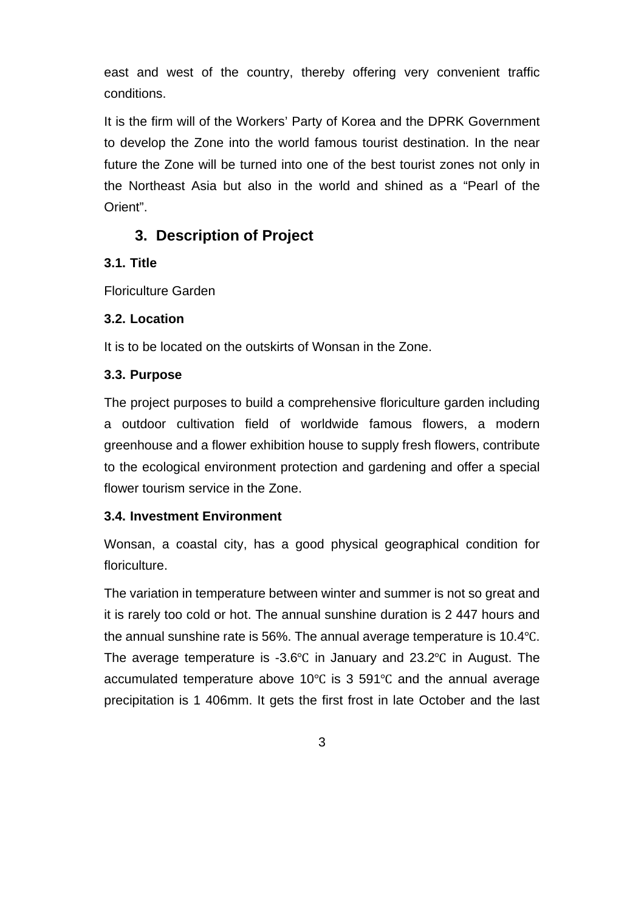east and west of the country, thereby offering very convenient traffic conditions.

It is the firm will of the Workers' Party of Korea and the DPRK Government to develop the Zone into the world famous tourist destination. In the near future the Zone will be turned into one of the best tourist zones not only in the Northeast Asia but also in the world and shined as a "Pearl of the Orient".

### **3. Description of Project**

#### **3.1. Title**

Floriculture Garden

#### **3.2. Location**

It is to be located on the outskirts of Wonsan in the Zone.

#### **3.3. Purpose**

The project purposes to build a comprehensive floriculture garden including a outdoor cultivation field of worldwide famous flowers, a modern greenhouse and a flower exhibition house to supply fresh flowers, contribute to the ecological environment protection and gardening and offer a special flower tourism service in the Zone.

#### **3.4. Investment Environment**

Wonsan, a coastal city, has a good physical geographical condition for floriculture.

The variation in temperature between winter and summer is not so great and it is rarely too cold or hot. The annual sunshine duration is 2 447 hours and the annual sunshine rate is 56%. The annual average temperature is 10.4℃. The average temperature is -3.6℃ in January and 23.2℃ in August. The accumulated temperature above 10℃ is 3 591℃ and the annual average precipitation is 1 406mm. It gets the first frost in late October and the last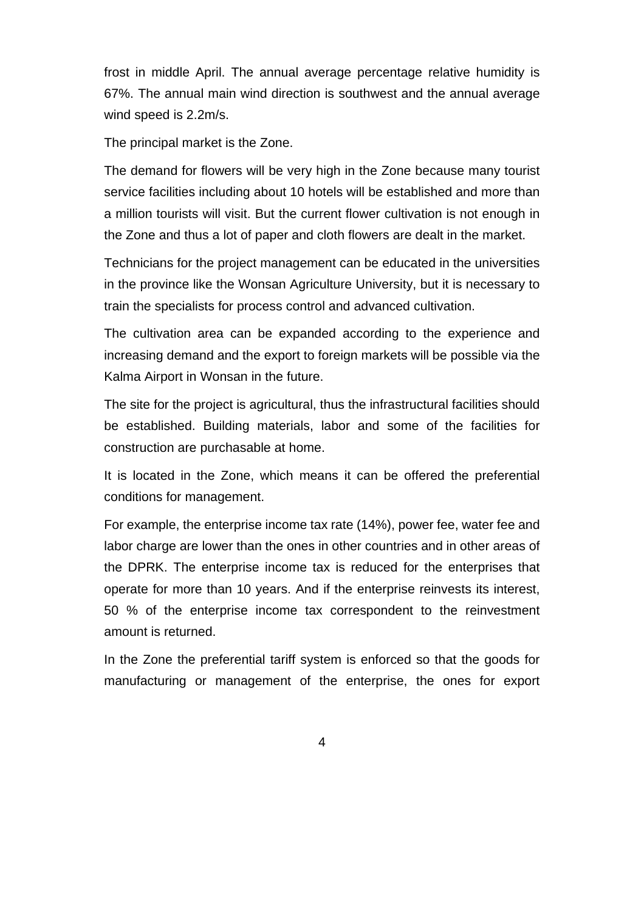frost in middle April. The annual average percentage relative humidity is 67%. The annual main wind direction is southwest and the annual average wind speed is 2.2m/s.

The principal market is the Zone.

The demand for flowers will be very high in the Zone because many tourist service facilities including about 10 hotels will be established and more than a million tourists will visit. But the current flower cultivation is not enough in the Zone and thus a lot of paper and cloth flowers are dealt in the market.

Technicians for the project management can be educated in the universities in the province like the Wonsan Agriculture University, but it is necessary to train the specialists for process control and advanced cultivation.

The cultivation area can be expanded according to the experience and increasing demand and the export to foreign markets will be possible via the Kalma Airport in Wonsan in the future.

The site for the project is agricultural, thus the infrastructural facilities should be established. Building materials, labor and some of the facilities for construction are purchasable at home.

It is located in the Zone, which means it can be offered the preferential conditions for management.

For example, the enterprise income tax rate (14%), power fee, water fee and labor charge are lower than the ones in other countries and in other areas of the DPRK. The enterprise income tax is reduced for the enterprises that operate for more than 10 years. And if the enterprise reinvests its interest, 50 % of the enterprise income tax correspondent to the reinvestment amount is returned.

In the Zone the preferential tariff system is enforced so that the goods for manufacturing or management of the enterprise, the ones for export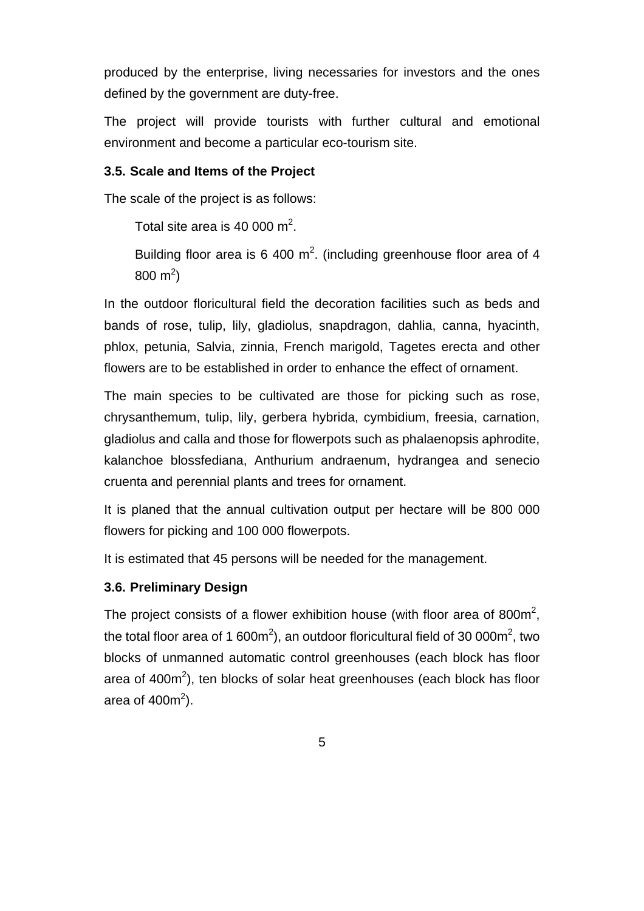produced by the enterprise, living necessaries for investors and the ones defined by the government are duty-free.

The project will provide tourists with further cultural and emotional environment and become a particular eco-tourism site.

#### **3.5. Scale and Items of the Project**

The scale of the project is as follows:

Total site area is 40 000  $m^2$ .

Building floor area is 6 400  $m^2$ . (including greenhouse floor area of 4  $800 \text{ m}^2$ 

In the outdoor floricultural field the decoration facilities such as beds and bands of rose, tulip, lily, gladiolus, snapdragon, dahlia, canna, hyacinth, phlox, petunia, Salvia, zinnia, French marigold, Tagetes erecta and other flowers are to be established in order to enhance the effect of ornament.

The main species to be cultivated are those for picking such as rose, chrysanthemum, tulip, lily, gerbera hybrida, cymbidium, freesia, carnation, gladiolus and calla and those for flowerpots such as phalaenopsis aphrodite, kalanchoe blossfediana, Anthurium andraenum, hydrangea and senecio cruenta and perennial plants and trees for ornament.

It is planed that the annual cultivation output per hectare will be 800 000 flowers for picking and 100 000 flowerpots.

It is estimated that 45 persons will be needed for the management.

#### **3.6. Preliminary Design**

The project consists of a flower exhibition house (with floor area of 800 $m^2$ , the total floor area of 1 600m<sup>2</sup>), an outdoor floricultural field of 30 000m<sup>2</sup>, two blocks of unmanned automatic control greenhouses (each block has floor area of  $400m^2$ ), ten blocks of solar heat greenhouses (each block has floor area of  $400m^2$ ).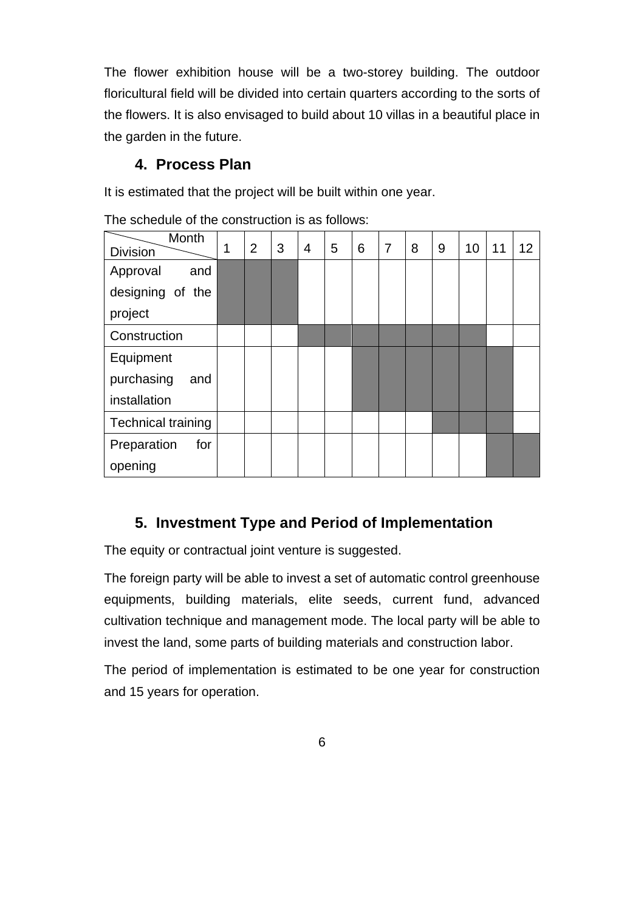The flower exhibition house will be a two-storey building. The outdoor floricultural field will be divided into certain quarters according to the sorts of the flowers. It is also envisaged to build about 10 villas in a beautiful place in the garden in the future.

## **4. Process Plan**

It is estimated that the project will be built within one year.

| Month<br><b>Division</b>  | 1 | 2 | 3 | $\overline{4}$ | 5 | 6 | 7 | 8 | 9 | 10 | 11 | 12 |
|---------------------------|---|---|---|----------------|---|---|---|---|---|----|----|----|
| Approval<br>and           |   |   |   |                |   |   |   |   |   |    |    |    |
| designing of the          |   |   |   |                |   |   |   |   |   |    |    |    |
| project                   |   |   |   |                |   |   |   |   |   |    |    |    |
| Construction              |   |   |   |                |   |   |   |   |   |    |    |    |
| Equipment                 |   |   |   |                |   |   |   |   |   |    |    |    |
| purchasing<br>and         |   |   |   |                |   |   |   |   |   |    |    |    |
| installation              |   |   |   |                |   |   |   |   |   |    |    |    |
| <b>Technical training</b> |   |   |   |                |   |   |   |   |   |    |    |    |
| Preparation<br>for        |   |   |   |                |   |   |   |   |   |    |    |    |
| opening                   |   |   |   |                |   |   |   |   |   |    |    |    |

The schedule of the construction is as follows:

## **5. Investment Type and Period of Implementation**

The equity or contractual joint venture is suggested.

The foreign party will be able to invest a set of automatic control greenhouse equipments, building materials, elite seeds, current fund, advanced cultivation technique and management mode. The local party will be able to invest the land, some parts of building materials and construction labor.

The period of implementation is estimated to be one year for construction and 15 years for operation.